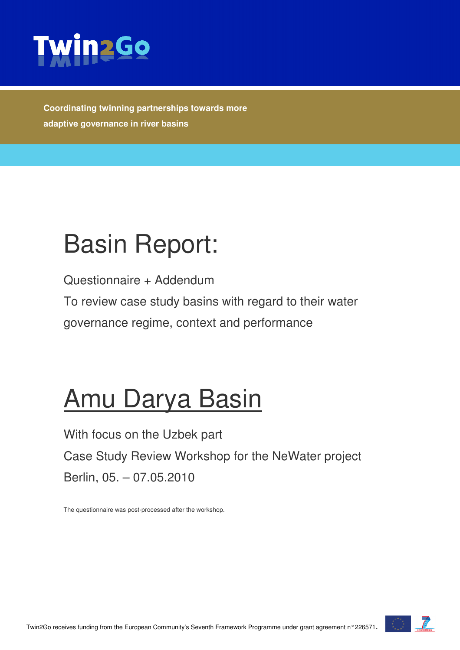

**Coordinating twinning partnerships towards more adaptive governance in river basins** 

# Basin Report:

Questionnaire + Addendum

To review case study basins with regard to their water governance regime, context and performance

# Amu Darya Basin

With focus on the Uzbek part Case Study Review Workshop for the NeWater project Berlin, 05. – 07.05.2010

The questionnaire was post-processed after the workshop.

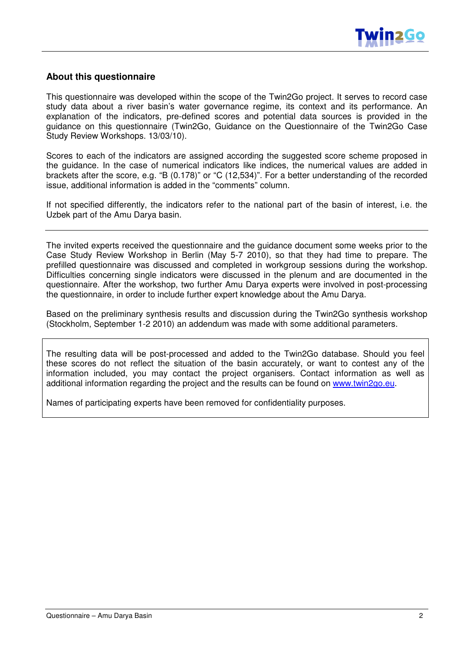

#### **About this questionnaire**

This questionnaire was developed within the scope of the Twin2Go project. It serves to record case study data about a river basin's water governance regime, its context and its performance. An explanation of the indicators, pre-defined scores and potential data sources is provided in the guidance on this questionnaire (Twin2Go, Guidance on the Questionnaire of the Twin2Go Case Study Review Workshops. 13/03/10).

Scores to each of the indicators are assigned according the suggested score scheme proposed in the guidance. In the case of numerical indicators like indices, the numerical values are added in brackets after the score, e.g. "B (0.178)" or "C (12,534)". For a better understanding of the recorded issue, additional information is added in the "comments" column.

If not specified differently, the indicators refer to the national part of the basin of interest, i.e. the Uzbek part of the Amu Darya basin.

The invited experts received the questionnaire and the guidance document some weeks prior to the Case Study Review Workshop in Berlin (May 5-7 2010), so that they had time to prepare. The prefilled questionnaire was discussed and completed in workgroup sessions during the workshop. Difficulties concerning single indicators were discussed in the plenum and are documented in the questionnaire. After the workshop, two further Amu Darya experts were involved in post-processing the questionnaire, in order to include further expert knowledge about the Amu Darya.

Based on the preliminary synthesis results and discussion during the Twin2Go synthesis workshop (Stockholm, September 1-2 2010) an addendum was made with some additional parameters.

The resulting data will be post-processed and added to the Twin2Go database. Should you feel these scores do not reflect the situation of the basin accurately, or want to contest any of the information included, you may contact the project organisers. Contact information as well as additional information regarding the project and the results can be found on www.twin2go.eu.

Names of participating experts have been removed for confidentiality purposes.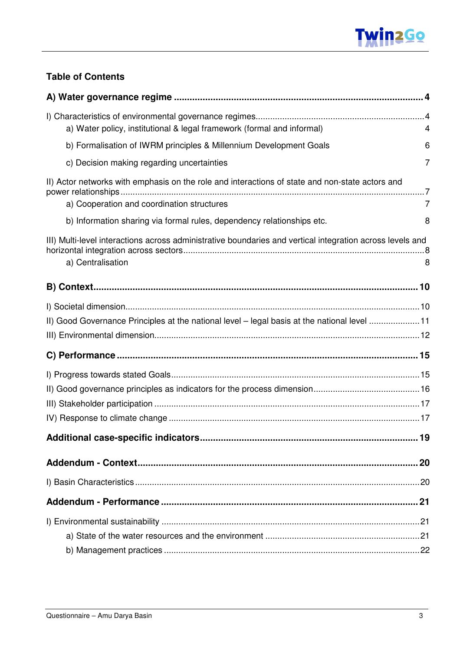

#### **Table of Contents**

| a) Water policy, institutional & legal framework (formal and informal)                                                                        | 4 |
|-----------------------------------------------------------------------------------------------------------------------------------------------|---|
| b) Formalisation of IWRM principles & Millennium Development Goals                                                                            | 6 |
| c) Decision making regarding uncertainties                                                                                                    | 7 |
| II) Actor networks with emphasis on the role and interactions of state and non-state actors and<br>a) Cooperation and coordination structures | 7 |
| b) Information sharing via formal rules, dependency relationships etc.                                                                        | 8 |
| III) Multi-level interactions across administrative boundaries and vertical integration across levels and<br>a) Centralisation                | 8 |
|                                                                                                                                               |   |
|                                                                                                                                               |   |
| II) Good Governance Principles at the national level - legal basis at the national level 11                                                   |   |
|                                                                                                                                               |   |
|                                                                                                                                               |   |
|                                                                                                                                               |   |
|                                                                                                                                               |   |
|                                                                                                                                               |   |
|                                                                                                                                               |   |
|                                                                                                                                               |   |
|                                                                                                                                               |   |
|                                                                                                                                               |   |
|                                                                                                                                               |   |
|                                                                                                                                               |   |
|                                                                                                                                               |   |
|                                                                                                                                               |   |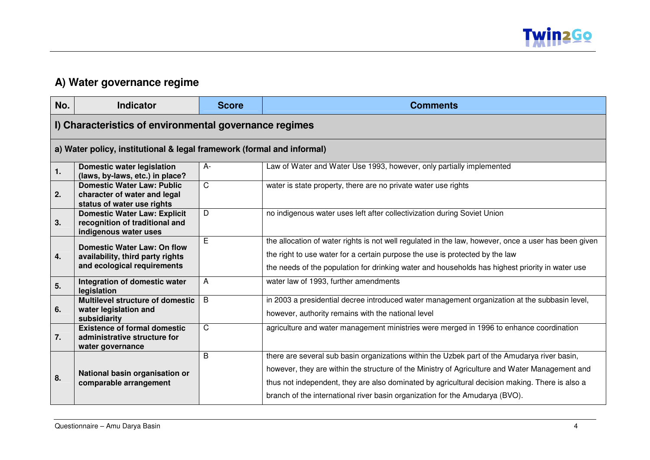

#### **A) Water governance regime**

| No. | <b>Indicator</b>                                                                                      | <b>Score</b> | <b>Comments</b>                                                                                                                                                                                                                                                                                                                                                                  |
|-----|-------------------------------------------------------------------------------------------------------|--------------|----------------------------------------------------------------------------------------------------------------------------------------------------------------------------------------------------------------------------------------------------------------------------------------------------------------------------------------------------------------------------------|
|     | I) Characteristics of environmental governance regimes                                                |              |                                                                                                                                                                                                                                                                                                                                                                                  |
|     | a) Water policy, institutional & legal framework (formal and informal)                                |              |                                                                                                                                                                                                                                                                                                                                                                                  |
| 1.  | <b>Domestic water legislation</b><br>(laws, by-laws, etc.) in place?                                  | A-           | Law of Water and Water Use 1993, however, only partially implemented                                                                                                                                                                                                                                                                                                             |
| 2.  | <b>Domestic Water Law: Public</b><br>character of water and legal<br>status of water use rights       | C            | water is state property, there are no private water use rights                                                                                                                                                                                                                                                                                                                   |
| 3.  | <b>Domestic Water Law: Explicit</b><br>recognition of traditional and<br>indigenous water uses        | D            | no indigenous water uses left after collectivization during Soviet Union                                                                                                                                                                                                                                                                                                         |
| 4.  | <b>Domestic Water Law: On flow</b><br>availability, third party rights<br>and ecological requirements | E            | the allocation of water rights is not well regulated in the law, however, once a user has been given<br>the right to use water for a certain purpose the use is protected by the law<br>the needs of the population for drinking water and households has highest priority in water use                                                                                          |
| 5.  | Integration of domestic water<br>legislation                                                          | A            | water law of 1993, further amendments                                                                                                                                                                                                                                                                                                                                            |
| 6.  | <b>Multilevel structure of domestic</b><br>water legislation and<br>subsidiarity                      | B            | in 2003 a presidential decree introduced water management organization at the subbasin level,<br>however, authority remains with the national level                                                                                                                                                                                                                              |
| 7.  | <b>Existence of formal domestic</b><br>administrative structure for<br>water governance               | C            | agriculture and water management ministries were merged in 1996 to enhance coordination                                                                                                                                                                                                                                                                                          |
| 8.  | National basin organisation or<br>comparable arrangement                                              | B            | there are several sub basin organizations within the Uzbek part of the Amudarya river basin,<br>however, they are within the structure of the Ministry of Agriculture and Water Management and<br>thus not independent, they are also dominated by agricultural decision making. There is also a<br>branch of the international river basin organization for the Amudarya (BVO). |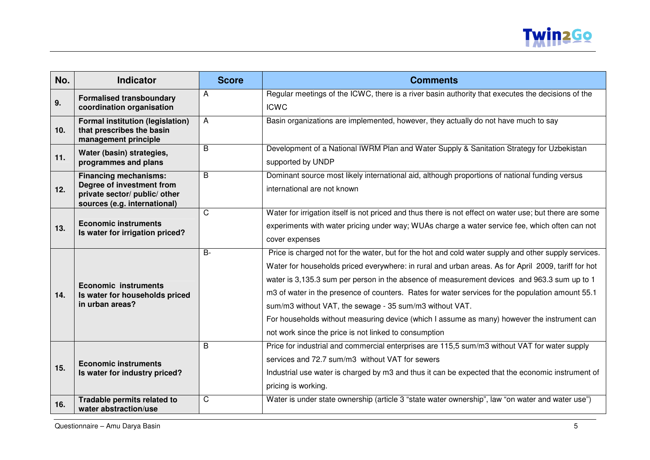

| No.             | <b>Indicator</b>                                                                                                           | <b>Score</b> | <b>Comments</b>                                                                                                                                                                                                                                                                                                                                                                                                                                                                                                                                                                                                                   |
|-----------------|----------------------------------------------------------------------------------------------------------------------------|--------------|-----------------------------------------------------------------------------------------------------------------------------------------------------------------------------------------------------------------------------------------------------------------------------------------------------------------------------------------------------------------------------------------------------------------------------------------------------------------------------------------------------------------------------------------------------------------------------------------------------------------------------------|
| 9.              | <b>Formalised transboundary</b><br>coordination organisation                                                               | A            | Regular meetings of the ICWC, there is a river basin authority that executes the decisions of the<br><b>ICWC</b>                                                                                                                                                                                                                                                                                                                                                                                                                                                                                                                  |
| 10 <sub>1</sub> | <b>Formal institution (legislation)</b><br>that prescribes the basin<br>management principle                               | A            | Basin organizations are implemented, however, they actually do not have much to say                                                                                                                                                                                                                                                                                                                                                                                                                                                                                                                                               |
| 11.             | Water (basin) strategies,<br>programmes and plans                                                                          | B            | Development of a National IWRM Plan and Water Supply & Sanitation Strategy for Uzbekistan<br>supported by UNDP                                                                                                                                                                                                                                                                                                                                                                                                                                                                                                                    |
| 12.             | <b>Financing mechanisms:</b><br>Degree of investment from<br>private sector/ public/ other<br>sources (e.g. international) | B            | Dominant source most likely international aid, although proportions of national funding versus<br>international are not known                                                                                                                                                                                                                                                                                                                                                                                                                                                                                                     |
| 13.             | <b>Economic instruments</b><br>Is water for irrigation priced?                                                             | C            | Water for irrigation itself is not priced and thus there is not effect on water use; but there are some<br>experiments with water pricing under way; WUAs charge a water service fee, which often can not<br>cover expenses                                                                                                                                                                                                                                                                                                                                                                                                       |
| 14.             | <b>Economic instruments</b><br>Is water for households priced<br>in urban areas?                                           | $B -$        | Price is charged not for the water, but for the hot and cold water supply and other supply services.<br>Water for households priced everywhere: in rural and urban areas. As for April 2009, tariff for hot<br>water is 3,135.3 sum per person in the absence of measurement devices and 963.3 sum up to 1<br>m3 of water in the presence of counters. Rates for water services for the population amount 55.1<br>sum/m3 without VAT, the sewage - 35 sum/m3 without VAT.<br>For households without measuring device (which I assume as many) however the instrument can<br>not work since the price is not linked to consumption |
| 15.             | <b>Economic instruments</b><br>Is water for industry priced?                                                               | B            | Price for industrial and commercial enterprises are 115,5 sum/m3 without VAT for water supply<br>services and 72.7 sum/m3 without VAT for sewers<br>Industrial use water is charged by m3 and thus it can be expected that the economic instrument of<br>pricing is working.                                                                                                                                                                                                                                                                                                                                                      |
| 16.             | Tradable permits related to<br>water abstraction/use                                                                       | C            | Water is under state ownership (article 3 "state water ownership", law "on water and water use")                                                                                                                                                                                                                                                                                                                                                                                                                                                                                                                                  |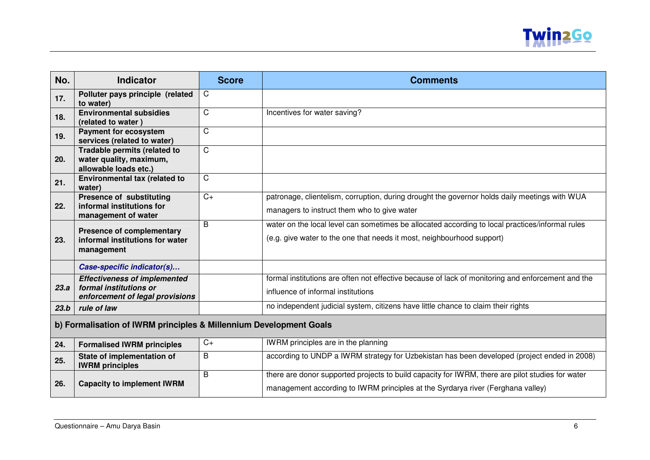

| No.  | <b>Indicator</b>                                                                                 | <b>Score</b>          | <b>Comments</b>                                                                                                                                                                     |  |
|------|--------------------------------------------------------------------------------------------------|-----------------------|-------------------------------------------------------------------------------------------------------------------------------------------------------------------------------------|--|
| 17.  | Polluter pays principle (related<br>to water)                                                    | C                     |                                                                                                                                                                                     |  |
| 18.  | <b>Environmental subsidies</b><br>(related to water)                                             | C                     | Incentives for water saving?                                                                                                                                                        |  |
| 19.  | <b>Payment for ecosystem</b><br>services (related to water)                                      | $\overline{\text{C}}$ |                                                                                                                                                                                     |  |
| 20.  | Tradable permits (related to<br>water quality, maximum,<br>allowable loads etc.)                 | C                     |                                                                                                                                                                                     |  |
| 21.  | Environmental tax (related to<br>water)                                                          | C                     |                                                                                                                                                                                     |  |
| 22.  | <b>Presence of substituting</b><br>informal institutions for<br>management of water              | $C+$                  | patronage, clientelism, corruption, during drought the governor holds daily meetings with WUA<br>managers to instruct them who to give water                                        |  |
| 23.  | <b>Presence of complementary</b><br>informal institutions for water<br>management                | B                     | water on the local level can sometimes be allocated according to local practices/informal rules<br>(e.g. give water to the one that needs it most, neighbourhood support)           |  |
|      | Case-specific indicator(s)                                                                       |                       |                                                                                                                                                                                     |  |
| 23.a | <b>Effectiveness of implemented</b><br>formal institutions or<br>enforcement of legal provisions |                       | formal institutions are often not effective because of lack of monitoring and enforcement and the<br>influence of informal institutions                                             |  |
| 23.b | rule of law                                                                                      |                       | no independent judicial system, citizens have little chance to claim their rights                                                                                                   |  |
|      | b) Formalisation of IWRM principles & Millennium Development Goals                               |                       |                                                                                                                                                                                     |  |
| 24.  | <b>Formalised IWRM principles</b>                                                                | $C+$                  | IWRM principles are in the planning                                                                                                                                                 |  |
| 25.  | State of implementation of<br><b>IWRM</b> principles                                             | B                     | according to UNDP a IWRM strategy for Uzbekistan has been developed (project ended in 2008)                                                                                         |  |
| 26.  | <b>Capacity to implement IWRM</b>                                                                | B                     | there are donor supported projects to build capacity for IWRM, there are pilot studies for water<br>management according to IWRM principles at the Syrdarya river (Ferghana valley) |  |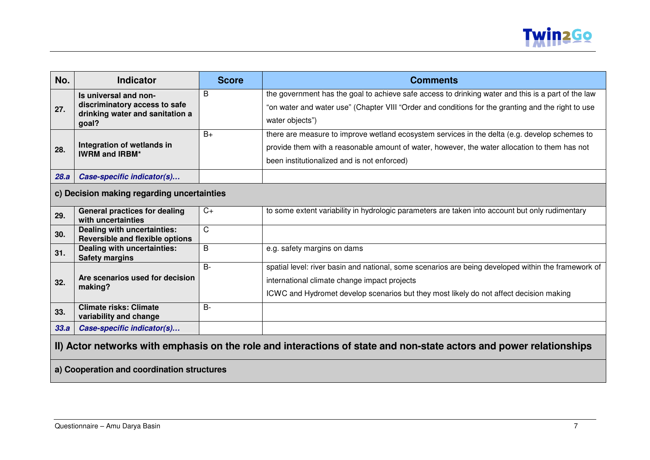

| No.  | <b>Indicator</b>                                                                                                                                                  | <b>Score</b> | <b>Comments</b>                                                                                                                                                                                                                               |  |
|------|-------------------------------------------------------------------------------------------------------------------------------------------------------------------|--------------|-----------------------------------------------------------------------------------------------------------------------------------------------------------------------------------------------------------------------------------------------|--|
| 27.  | Is universal and non-<br>discriminatory access to safe<br>drinking water and sanitation a<br>goal?                                                                | B            | the government has the goal to achieve safe access to drinking water and this is a part of the law<br>"on water and water use" (Chapter VIII "Order and conditions for the granting and the right to use<br>water objects")                   |  |
| 28.  | Integration of wetlands in<br><b>IWRM and IRBM*</b>                                                                                                               | $B+$         | there are measure to improve wetland ecosystem services in the delta (e.g. develop schemes to<br>provide them with a reasonable amount of water, however, the water allocation to them has not<br>been institutionalized and is not enforced) |  |
| 28.a | Case-specific indicator(s)                                                                                                                                        |              |                                                                                                                                                                                                                                               |  |
|      | c) Decision making regarding uncertainties                                                                                                                        |              |                                                                                                                                                                                                                                               |  |
| 29.  | <b>General practices for dealing</b><br>with uncertainties                                                                                                        | $C+$         | to some extent variability in hydrologic parameters are taken into account but only rudimentary                                                                                                                                               |  |
| 30.  | Dealing with uncertainties:<br><b>Reversible and flexible options</b>                                                                                             | C            |                                                                                                                                                                                                                                               |  |
| 31.  | Dealing with uncertainties:<br><b>Safety margins</b>                                                                                                              | B            | e.g. safety margins on dams                                                                                                                                                                                                                   |  |
| 32.  | Are scenarios used for decision<br>making?                                                                                                                        | $B -$        | spatial level: river basin and national, some scenarios are being developed within the framework of<br>international climate change impact projects<br>ICWC and Hydromet develop scenarios but they most likely do not affect decision making |  |
| 33.  | <b>Climate risks: Climate</b><br>variability and change                                                                                                           | $B -$        |                                                                                                                                                                                                                                               |  |
| 33.a | Case-specific indicator(s)                                                                                                                                        |              |                                                                                                                                                                                                                                               |  |
|      | II) Actor networks with emphasis on the role and interactions of state and non-state actors and power relationships<br>a) Cooperation and coordination structures |              |                                                                                                                                                                                                                                               |  |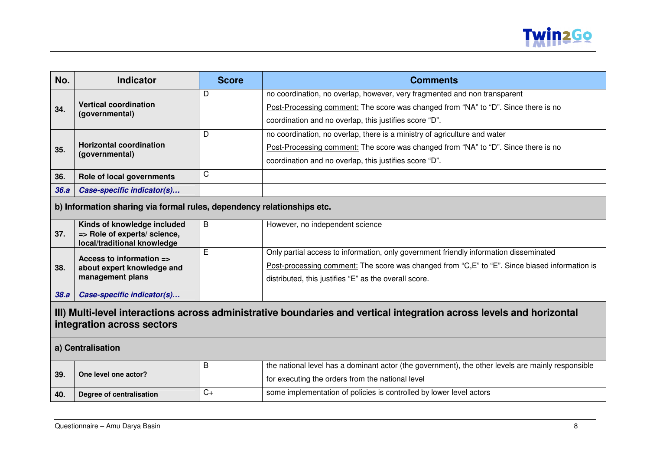

| No.                                                                                                                                                | <b>Indicator</b>                                                       | <b>Score</b> | <b>Comments</b>                                                                                   |  |
|----------------------------------------------------------------------------------------------------------------------------------------------------|------------------------------------------------------------------------|--------------|---------------------------------------------------------------------------------------------------|--|
|                                                                                                                                                    |                                                                        | D            | no coordination, no overlap, however, very fragmented and non transparent                         |  |
| 34.                                                                                                                                                | <b>Vertical coordination</b><br>(governmental)                         |              | Post-Processing comment: The score was changed from "NA" to "D". Since there is no                |  |
|                                                                                                                                                    |                                                                        |              | coordination and no overlap, this justifies score "D".                                            |  |
|                                                                                                                                                    |                                                                        | D            | no coordination, no overlap, there is a ministry of agriculture and water                         |  |
| 35.                                                                                                                                                | <b>Horizontal coordination</b>                                         |              | Post-Processing comment: The score was changed from "NA" to "D". Since there is no                |  |
|                                                                                                                                                    | (governmental)                                                         |              | coordination and no overlap, this justifies score "D".                                            |  |
| 36.                                                                                                                                                | Role of local governments                                              | $\mathsf{C}$ |                                                                                                   |  |
| 36.a                                                                                                                                               | Case-specific indicator(s)                                             |              |                                                                                                   |  |
|                                                                                                                                                    | b) Information sharing via formal rules, dependency relationships etc. |              |                                                                                                   |  |
| 37.                                                                                                                                                | Kinds of knowledge included<br>=> Role of experts/ science,            | B            | However, no independent science                                                                   |  |
|                                                                                                                                                    | local/traditional knowledge                                            |              |                                                                                                   |  |
|                                                                                                                                                    | Access to information =>                                               | Е            | Only partial access to information, only government friendly information disseminated             |  |
| 38.                                                                                                                                                | about expert knowledge and                                             |              | Post-processing comment: The score was changed from "C, E" to "E". Since biased information is    |  |
|                                                                                                                                                    | management plans                                                       |              | distributed, this justifies "E" as the overall score.                                             |  |
| 38.a                                                                                                                                               | Case-specific indicator(s)                                             |              |                                                                                                   |  |
| III) Multi-level interactions across administrative boundaries and vertical integration across levels and horizontal<br>integration across sectors |                                                                        |              |                                                                                                   |  |
|                                                                                                                                                    | a) Centralisation                                                      |              |                                                                                                   |  |
|                                                                                                                                                    |                                                                        | B            | the national level has a dominant actor (the government), the other levels are mainly responsible |  |
| 39.                                                                                                                                                | One level one actor?                                                   |              | for executing the orders from the national level                                                  |  |
| 40.                                                                                                                                                | Degree of centralisation                                               | $C+$         | some implementation of policies is controlled by lower level actors                               |  |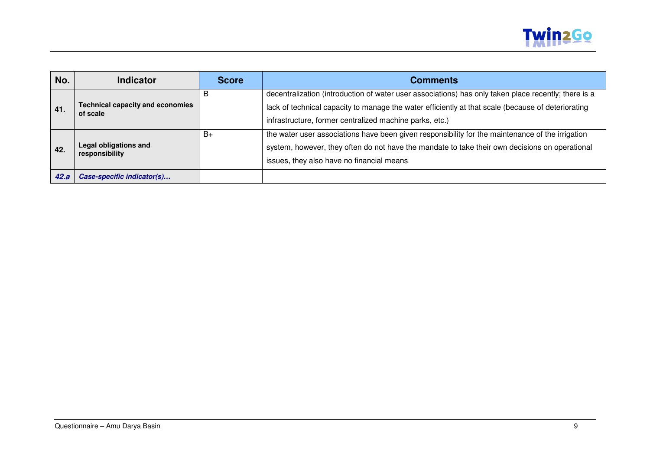

| No.  | <b>Indicator</b>                                    | <b>Score</b> | <b>Comments</b>                                                                                                                                                                                                                                                       |
|------|-----------------------------------------------------|--------------|-----------------------------------------------------------------------------------------------------------------------------------------------------------------------------------------------------------------------------------------------------------------------|
| 41.  | <b>Technical capacity and economies</b><br>of scale | в            | decentralization (introduction of water user associations) has only taken place recently; there is a<br>lack of technical capacity to manage the water efficiently at that scale (because of deteriorating<br>infrastructure, former centralized machine parks, etc.) |
| 42.  | Legal obligations and<br>responsibility             | $B+$         | the water user associations have been given responsibility for the maintenance of the irrigation<br>system, however, they often do not have the mandate to take their own decisions on operational<br>issues, they also have no financial means                       |
| 42.a | Case-specific indicator(s)                          |              |                                                                                                                                                                                                                                                                       |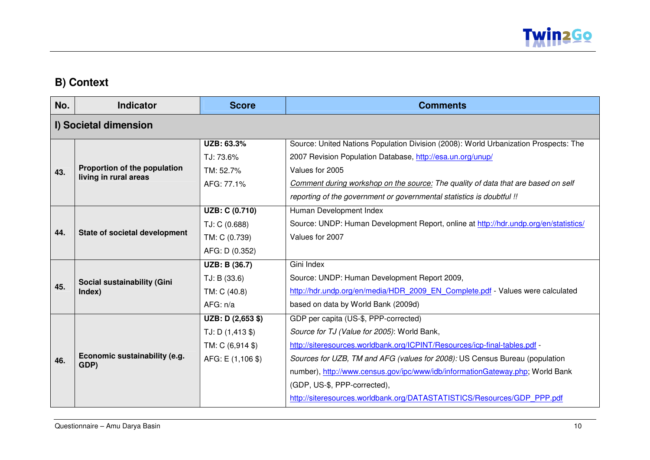

### **B) Context**

| No. | <b>Indicator</b>                                      | <b>Score</b>          | <b>Comments</b>                                                                      |  |  |
|-----|-------------------------------------------------------|-----------------------|--------------------------------------------------------------------------------------|--|--|
|     | I) Societal dimension                                 |                       |                                                                                      |  |  |
|     |                                                       | UZB: 63.3%            | Source: United Nations Population Division (2008): World Urbanization Prospects: The |  |  |
|     |                                                       | TJ: 73.6%             | 2007 Revision Population Database, http://esa.un.org/unup/                           |  |  |
| 43. | Proportion of the population<br>living in rural areas | TM: 52.7%             | Values for 2005                                                                      |  |  |
|     |                                                       | AFG: 77.1%            | Comment during workshop on the source: The quality of data that are based on self    |  |  |
|     |                                                       |                       | reporting of the government or governmental statistics is doubtful !!                |  |  |
|     |                                                       | <b>UZB: C (0.710)</b> | Human Development Index                                                              |  |  |
|     |                                                       | TJ: C (0.688)         | Source: UNDP: Human Development Report, online at http://hdr.undp.org/en/statistics/ |  |  |
| 44. | State of societal development                         | TM: C (0.739)         | Values for 2007                                                                      |  |  |
|     |                                                       | AFG: D (0.352)        |                                                                                      |  |  |
|     |                                                       | UZB: B (36.7)         | Gini Index                                                                           |  |  |
|     | Social sustainability (Gini                           | TJ: B (33.6)          | Source: UNDP: Human Development Report 2009,                                         |  |  |
| 45. | Index)                                                | TM: C (40.8)          | http://hdr.undp.org/en/media/HDR 2009 EN Complete.pdf - Values were calculated       |  |  |
|     |                                                       | AFG: n/a              | based on data by World Bank (2009d)                                                  |  |  |
|     |                                                       | UZB: D (2,653 \$)     | GDP per capita (US-\$, PPP-corrected)                                                |  |  |
|     |                                                       | $TJ: D(1,413 \$       | Source for TJ (Value for 2005): World Bank,                                          |  |  |
|     |                                                       | TM: C (6,914 \$)      | http://siteresources.worldbank.org/ICPINT/Resources/icp-final-tables.pdf -           |  |  |
| 46. | Economic sustainability (e.g.<br>GDP)                 | AFG: E (1,106 \$)     | Sources for UZB, TM and AFG (values for 2008): US Census Bureau (population          |  |  |
|     |                                                       |                       | number), http://www.census.gov/ipc/www/idb/informationGateway.php; World Bank        |  |  |
|     |                                                       |                       | (GDP, US-\$, PPP-corrected),                                                         |  |  |
|     |                                                       |                       | http://siteresources.worldbank.org/DATASTATISTICS/Resources/GDP_PPP.pdf              |  |  |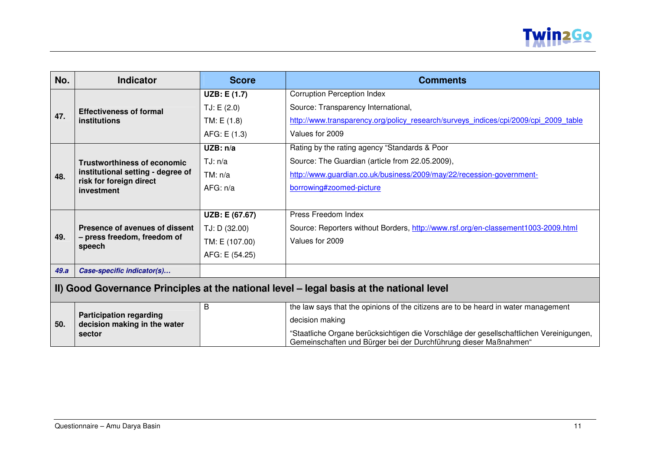

| No.                                                                                      | <b>Indicator</b>                                               | <b>Score</b>   | <b>Comments</b>                                                                                                                                             |
|------------------------------------------------------------------------------------------|----------------------------------------------------------------|----------------|-------------------------------------------------------------------------------------------------------------------------------------------------------------|
|                                                                                          | <b>Effectiveness of formal</b>                                 | UZB: E (1.7)   | <b>Corruption Perception Index</b>                                                                                                                          |
|                                                                                          |                                                                | TJ: E(2.0)     | Source: Transparency International,                                                                                                                         |
| 47.                                                                                      | institutions                                                   | TM: E(1.8)     | http://www.transparency.org/policy research/surveys indices/cpi/2009/cpi 2009 table                                                                         |
|                                                                                          |                                                                | AFG: E(1.3)    | Values for 2009                                                                                                                                             |
|                                                                                          |                                                                | UZB: n/a       | Rating by the rating agency "Standards & Poor                                                                                                               |
|                                                                                          | <b>Trustworthiness of economic</b>                             | TJ: n/a        | Source: The Guardian (article from 22.05.2009),                                                                                                             |
| 48.                                                                                      | institutional setting - degree of                              | TM: n/a        | http://www.guardian.co.uk/business/2009/may/22/recession-government-                                                                                        |
|                                                                                          | risk for foreign direct<br>investment                          | AFG: n/a       | borrowing#zoomed-picture                                                                                                                                    |
|                                                                                          |                                                                |                |                                                                                                                                                             |
|                                                                                          |                                                                | UZB: E (67.67) | Press Freedom Index                                                                                                                                         |
|                                                                                          | Presence of avenues of dissent                                 | TJ: D (32.00)  | Source: Reporters without Borders, http://www.rsf.org/en-classement1003-2009.html                                                                           |
| 49.                                                                                      | - press freedom, freedom of<br>speech                          | TM: E (107.00) | Values for 2009                                                                                                                                             |
|                                                                                          |                                                                | AFG: E (54.25) |                                                                                                                                                             |
| 49.a                                                                                     | Case-specific indicator(s)                                     |                |                                                                                                                                                             |
| II) Good Governance Principles at the national level - legal basis at the national level |                                                                |                |                                                                                                                                                             |
|                                                                                          |                                                                | B              | the law says that the opinions of the citizens are to be heard in water management                                                                          |
| 50.                                                                                      | <b>Participation regarding</b><br>decision making in the water |                | decision making                                                                                                                                             |
| sector                                                                                   |                                                                |                | "Staatliche Organe berücksichtigen die Vorschläge der gesellschaftlichen Vereinigungen,<br>Gemeinschaften und Bürger bei der Durchführung dieser Maßnahmen" |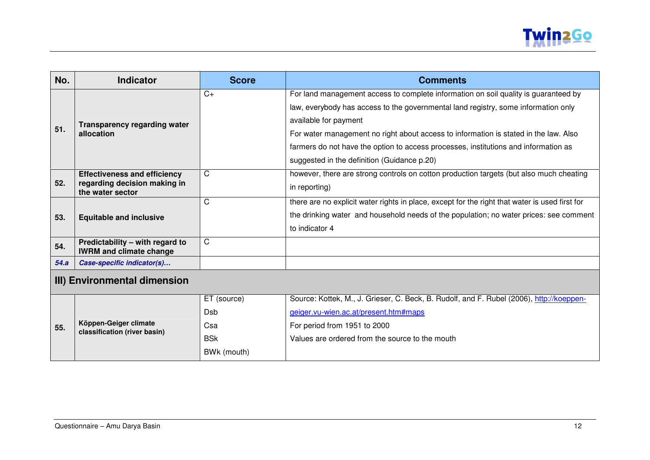

| No.                          | <b>Indicator</b>                                                  | <b>Score</b> | <b>Comments</b>                                                                                |
|------------------------------|-------------------------------------------------------------------|--------------|------------------------------------------------------------------------------------------------|
|                              |                                                                   | $C+$         | For land management access to complete information on soil quality is guaranteed by            |
|                              |                                                                   |              | law, everybody has access to the governmental land registry, some information only             |
|                              | <b>Transparency regarding water</b>                               |              | available for payment                                                                          |
| 51.                          | allocation                                                        |              | For water management no right about access to information is stated in the law. Also           |
|                              |                                                                   |              | farmers do not have the option to access processes, institutions and information as            |
|                              |                                                                   |              | suggested in the definition (Guidance p.20)                                                    |
|                              | <b>Effectiveness and efficiency</b>                               | C            | however, there are strong controls on cotton production targets (but also much cheating        |
| 52.                          | regarding decision making in<br>the water sector                  |              | in reporting)                                                                                  |
|                              |                                                                   | C            | there are no explicit water rights in place, except for the right that water is used first for |
| 53.                          | <b>Equitable and inclusive</b>                                    |              | the drinking water and household needs of the population; no water prices: see comment         |
|                              |                                                                   |              | to indicator 4                                                                                 |
| 54.                          | Predictability – with regard to<br><b>IWRM and climate change</b> | C            |                                                                                                |
| 54.a                         | Case-specific indicator(s)                                        |              |                                                                                                |
| III) Environmental dimension |                                                                   |              |                                                                                                |

|     |                                                       | ET (source) | Source: Kottek, M., J. Grieser, C. Beck, B. Rudolf, and F. Rubel (2006), http://koeppen- |
|-----|-------------------------------------------------------|-------------|------------------------------------------------------------------------------------------|
|     |                                                       | Dsb         | geiger.vu-wien.ac.at/present.htm#maps                                                    |
| 55. | Köppen-Geiger climate<br>classification (river basin) | Csa         | For period from 1951 to 2000                                                             |
|     |                                                       | <b>BSK</b>  | Values are ordered from the source to the mouth                                          |
|     |                                                       | BWk (mouth) |                                                                                          |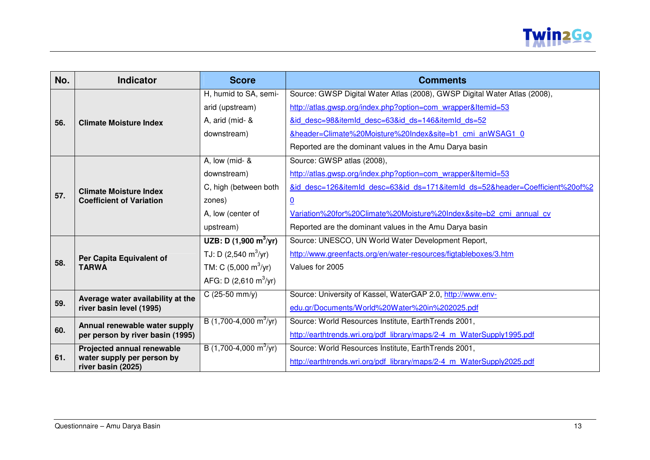

| No. | <b>Indicator</b>                                 | <b>Score</b>                           | <b>Comments</b>                                                              |
|-----|--------------------------------------------------|----------------------------------------|------------------------------------------------------------------------------|
|     |                                                  | H, humid to SA, semi-                  | Source: GWSP Digital Water Atlas (2008), GWSP Digital Water Atlas (2008),    |
|     |                                                  | arid (upstream)                        | http://atlas.gwsp.org/index.php?option=com wrapper&Itemid=53                 |
| 56. | <b>Climate Moisture Index</b>                    | A, arid (mid- &                        | &id desc=98&itemId desc=63&id ds=146&itemId ds=52                            |
|     |                                                  | downstream)                            | &header=Climate%20Moisture%20Index&site=b1 cmi anWSAG1 0                     |
|     |                                                  |                                        | Reported are the dominant values in the Amu Darya basin                      |
|     |                                                  | A, low (mid- &                         | Source: GWSP atlas (2008),                                                   |
|     |                                                  | downstream)                            | http://atlas.gwsp.org/index.php?option=com wrapper&Itemid=53                 |
|     | <b>Climate Moisture Index</b>                    | C, high (between both                  | &id desc=126&itemId desc=63&id ds=171&itemId ds=52&header=Coefficient%20of%2 |
| 57. | <b>Coefficient of Variation</b>                  | zones)                                 | $\overline{0}$                                                               |
|     |                                                  | A, low (center of                      | Variation%20for%20Climate%20Moisture%20Index&site=b2 cmi annual cv           |
|     |                                                  | upstream)                              | Reported are the dominant values in the Amu Darya basin                      |
|     |                                                  | UZB: D $(1,900 \text{ m}^3/\text{yr})$ | Source: UNESCO, UN World Water Development Report,                           |
|     | Per Capita Equivalent of<br><b>TARWA</b>         | TJ: D $(2,540 \text{ m}^3/\text{yr})$  | http://www.greenfacts.org/en/water-resources/figtableboxes/3.htm             |
| 58. |                                                  | TM: C $(5,000 \text{ m}^3/\text{yr})$  | Values for 2005                                                              |
|     |                                                  | AFG: D $(2,610 \text{ m}^3/\text{yr})$ |                                                                              |
|     | Average water availability at the                | $C(25-50 mm/y)$                        | Source: University of Kassel, WaterGAP 2.0, http://www.env-                  |
| 59. | river basin level (1995)                         |                                        | edu.gr/Documents/World%20Water%20in%202025.pdf                               |
|     | Annual renewable water supply                    | B (1,700-4,000 m <sup>3</sup> /yr)     | Source: World Resources Institute, EarthTrends 2001,                         |
| 60. | per person by river basin (1995)                 |                                        | http://earthtrends.wri.org/pdf library/maps/2-4 m WaterSupply1995.pdf        |
|     | Projected annual renewable                       | B (1,700-4,000 m <sup>3</sup> /yr)     | Source: World Resources Institute, EarthTrends 2001,                         |
| 61. | water supply per person by<br>river basin (2025) |                                        | http://earthtrends.wri.org/pdf library/maps/2-4 m WaterSupply2025.pdf        |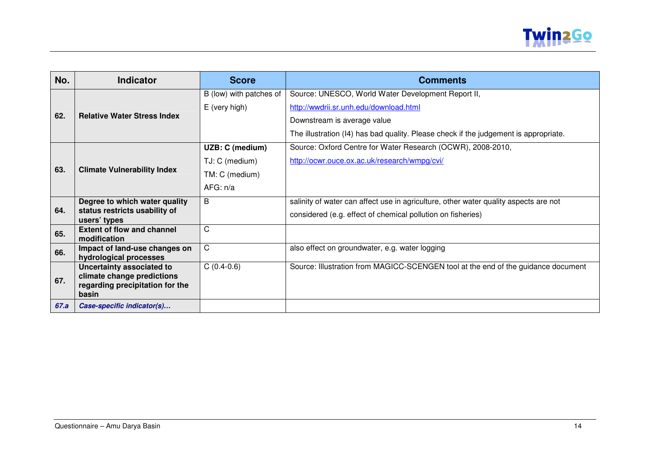

| No.  | <b>Indicator</b>                                              | <b>Score</b>            | <b>Comments</b>                                                                      |
|------|---------------------------------------------------------------|-------------------------|--------------------------------------------------------------------------------------|
|      |                                                               | B (low) with patches of | Source: UNESCO, World Water Development Report II,                                   |
|      |                                                               | E (very high)           | http://wwdrii.sr.unh.edu/download.html                                               |
| 62.  | <b>Relative Water Stress Index</b>                            |                         | Downstream is average value                                                          |
|      |                                                               |                         | The illustration (I4) has bad quality. Please check if the judgement is appropriate. |
|      |                                                               | UZB: C (medium)         | Source: Oxford Centre for Water Research (OCWR), 2008-2010,                          |
|      |                                                               | TJ: C (medium)          | http://ocwr.ouce.ox.ac.uk/research/wmpg/cvi/                                         |
| 63.  | <b>Climate Vulnerability Index</b>                            | TM: C (medium)          |                                                                                      |
|      |                                                               | AFG: n/a                |                                                                                      |
|      | Degree to which water quality                                 | B                       | salinity of water can affect use in agriculture, other water quality aspects are not |
| 64.  | status restricts usability of<br>users' types                 |                         | considered (e.g. effect of chemical pollution on fisheries)                          |
| 65.  | <b>Extent of flow and channel</b><br>modification             | C                       |                                                                                      |
| 66.  | Impact of land-use changes on<br>hydrological processes       | C.                      | also effect on groundwater, e.g. water logging                                       |
|      | Uncertainty associated to                                     | $C(0.4-0.6)$            | Source: Illustration from MAGICC-SCENGEN tool at the end of the guidance document    |
| 67.  | climate change predictions<br>regarding precipitation for the |                         |                                                                                      |
|      | basin                                                         |                         |                                                                                      |
| 67.a | Case-specific indicator(s)                                    |                         |                                                                                      |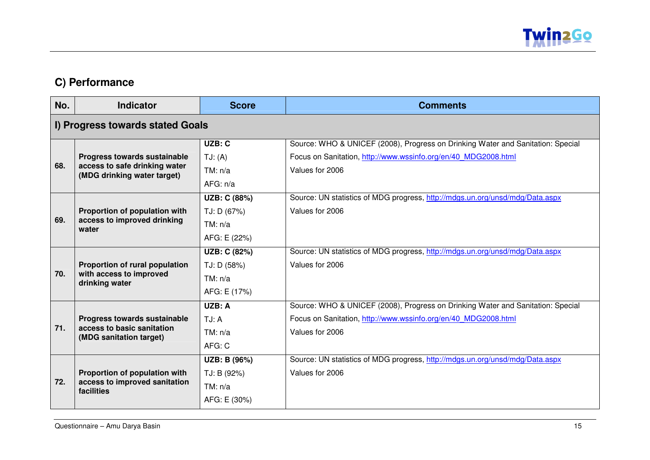

### **C) Performance**

| No.                              | <b>Indicator</b>                                                            | <b>Score</b> | <b>Comments</b>                                                                 |
|----------------------------------|-----------------------------------------------------------------------------|--------------|---------------------------------------------------------------------------------|
| I) Progress towards stated Goals |                                                                             |              |                                                                                 |
|                                  |                                                                             | UZB: C       | Source: WHO & UNICEF (2008), Progress on Drinking Water and Sanitation: Special |
|                                  | Progress towards sustainable                                                | TJ: (A)      | Focus on Sanitation, http://www.wssinfo.org/en/40 MDG2008.html                  |
| 68.                              | access to safe drinking water<br>(MDG drinking water target)                | TM: n/a      | Values for 2006                                                                 |
|                                  |                                                                             | AFG: n/a     |                                                                                 |
|                                  |                                                                             | UZB: C (88%) | Source: UN statistics of MDG progress, http://mdgs.un.org/unsd/mdg/Data.aspx    |
|                                  | Proportion of population with                                               | TJ: D (67%)  | Values for 2006                                                                 |
| 69.                              | access to improved drinking<br>water                                        | TM: n/a      |                                                                                 |
|                                  |                                                                             | AFG: E (22%) |                                                                                 |
|                                  |                                                                             | UZB: C (82%) | Source: UN statistics of MDG progress, http://mdgs.un.org/unsd/mdg/Data.aspx    |
|                                  | Proportion of rural population<br>with access to improved<br>drinking water | TJ: D (58%)  | Values for 2006                                                                 |
| 70.                              |                                                                             | TM: n/a      |                                                                                 |
|                                  |                                                                             | AFG: E (17%) |                                                                                 |
|                                  |                                                                             | UZB: A       | Source: WHO & UNICEF (2008), Progress on Drinking Water and Sanitation: Special |
|                                  | Progress towards sustainable                                                | TJ: A        | Focus on Sanitation, http://www.wssinfo.org/en/40_MDG2008.html                  |
| 71.                              | access to basic sanitation<br>(MDG sanitation target)                       | TM: n/a      | Values for 2006                                                                 |
|                                  |                                                                             | AFG: C       |                                                                                 |
|                                  |                                                                             | UZB: B (96%) | Source: UN statistics of MDG progress, http://mdgs.un.org/unsd/mdg/Data.aspx    |
|                                  | Proportion of population with                                               | TJ: B (92%)  | Values for 2006                                                                 |
| 72.                              | access to improved sanitation<br>facilities                                 | TM: n/a      |                                                                                 |
|                                  |                                                                             | AFG: E (30%) |                                                                                 |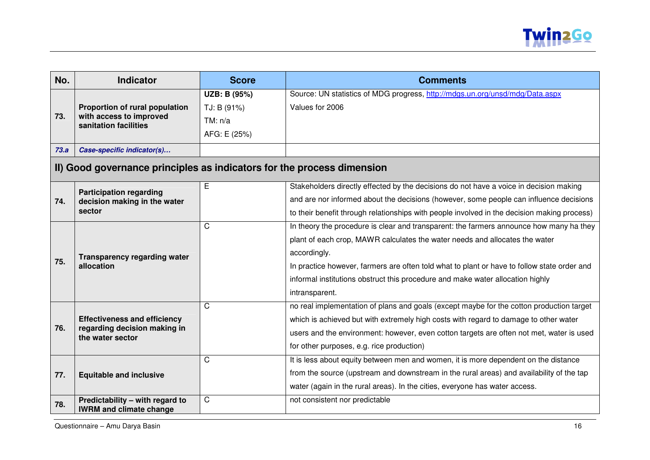

| No.  | <b>Indicator</b>                                                       | <b>Score</b> | <b>Comments</b>                                                                             |
|------|------------------------------------------------------------------------|--------------|---------------------------------------------------------------------------------------------|
|      |                                                                        | UZB: B (95%) | Source: UN statistics of MDG progress, http://mdgs.un.org/unsd/mdg/Data.aspx                |
|      | Proportion of rural population                                         | TJ: B (91%)  | Values for 2006                                                                             |
| 73.  | with access to improved<br>sanitation facilities                       | TM: n/a      |                                                                                             |
|      |                                                                        | AFG: E (25%) |                                                                                             |
| 73.a | Case-specific indicator(s)                                             |              |                                                                                             |
|      | II) Good governance principles as indicators for the process dimension |              |                                                                                             |
|      | <b>Participation regarding</b>                                         | E            | Stakeholders directly effected by the decisions do not have a voice in decision making      |
| 74.  | decision making in the water                                           |              | and are nor informed about the decisions (however, some people can influence decisions      |
|      | sector                                                                 |              | to their benefit through relationships with people involved in the decision making process) |
|      |                                                                        | $\mathsf{C}$ | In theory the procedure is clear and transparent: the farmers announce how many ha they     |
|      |                                                                        |              | plant of each crop, MAWR calculates the water needs and allocates the water                 |
|      | <b>Transparency regarding water</b><br>allocation                      |              | accordingly.                                                                                |
| 75.  |                                                                        |              | In practice however, farmers are often told what to plant or have to follow state order and |
|      |                                                                        |              | informal institutions obstruct this procedure and make water allocation highly              |
|      |                                                                        |              | intransparent.                                                                              |
|      |                                                                        | $\mathsf{C}$ | no real implementation of plans and goals (except maybe for the cotton production target    |
|      | <b>Effectiveness and efficiency</b>                                    |              | which is achieved but with extremely high costs with regard to damage to other water        |
| 76.  | regarding decision making in<br>the water sector                       |              | users and the environment: however, even cotton targets are often not met, water is used    |
|      |                                                                        |              | for other purposes, e.g. rice production)                                                   |
|      |                                                                        | $\mathsf{C}$ | It is less about equity between men and women, it is more dependent on the distance         |
| 77.  | <b>Equitable and inclusive</b>                                         |              | from the source (upstream and downstream in the rural areas) and availability of the tap    |
|      |                                                                        |              | water (again in the rural areas). In the cities, everyone has water access.                 |
| 78.  | Predictability - with regard to<br><b>IWRM and climate change</b>      | $\mathsf{C}$ | not consistent nor predictable                                                              |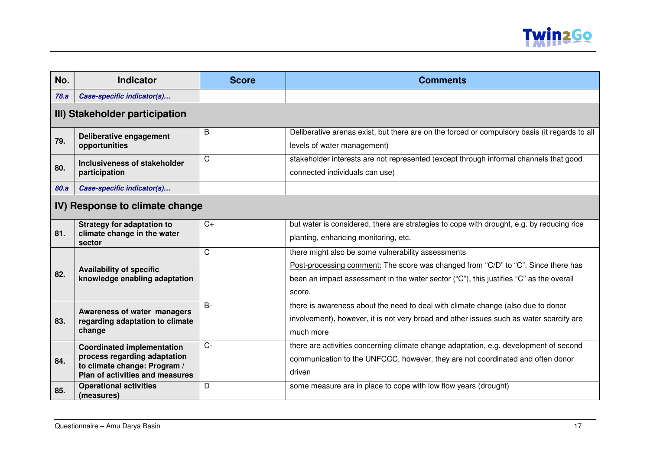

| No.                            | <b>Indicator</b>                                                                                                                     | <b>Score</b> | <b>Comments</b>                                                                                                                                                                                                                             |  |
|--------------------------------|--------------------------------------------------------------------------------------------------------------------------------------|--------------|---------------------------------------------------------------------------------------------------------------------------------------------------------------------------------------------------------------------------------------------|--|
| 78.a                           | Case-specific indicator(s)                                                                                                           |              |                                                                                                                                                                                                                                             |  |
|                                | III) Stakeholder participation                                                                                                       |              |                                                                                                                                                                                                                                             |  |
| 79.                            | Deliberative engagement<br>opportunities                                                                                             | B            | Deliberative arenas exist, but there are on the forced or compulsory basis (it regards to all<br>levels of water management)                                                                                                                |  |
| 80.                            | Inclusiveness of stakeholder<br>participation                                                                                        | C            | stakeholder interests are not represented (except through informal channels that good<br>connected individuals can use)                                                                                                                     |  |
| 80.a                           | Case-specific indicator(s)                                                                                                           |              |                                                                                                                                                                                                                                             |  |
| IV) Response to climate change |                                                                                                                                      |              |                                                                                                                                                                                                                                             |  |
| 81.                            | <b>Strategy for adaptation to</b><br>climate change in the water<br>sector                                                           | $C+$         | but water is considered, there are strategies to cope with drought, e.g. by reducing rice<br>planting, enhancing monitoring, etc.                                                                                                           |  |
| 82.                            | <b>Availability of specific</b><br>knowledge enabling adaptation                                                                     | $\mathsf{C}$ | there might also be some vulnerability assessments<br>Post-processing comment: The score was changed from "C/D" to "C". Since there has<br>been an impact assessment in the water sector ("C"), this justifies "C" as the overall<br>score. |  |
| 83.                            | Awareness of water managers<br>regarding adaptation to climate<br>change                                                             | $B -$        | there is awareness about the need to deal with climate change (also due to donor<br>involvement), however, it is not very broad and other issues such as water scarcity are<br>much more                                                    |  |
| 84.                            | <b>Coordinated implementation</b><br>process regarding adaptation<br>to climate change: Program /<br>Plan of activities and measures | $C -$        | there are activities concerning climate change adaptation, e.g. development of second<br>communication to the UNFCCC, however, they are not coordinated and often donor<br>driven                                                           |  |
| 85.                            | <b>Operational activities</b><br>(measures)                                                                                          | D            | some measure are in place to cope with low flow years (drought)                                                                                                                                                                             |  |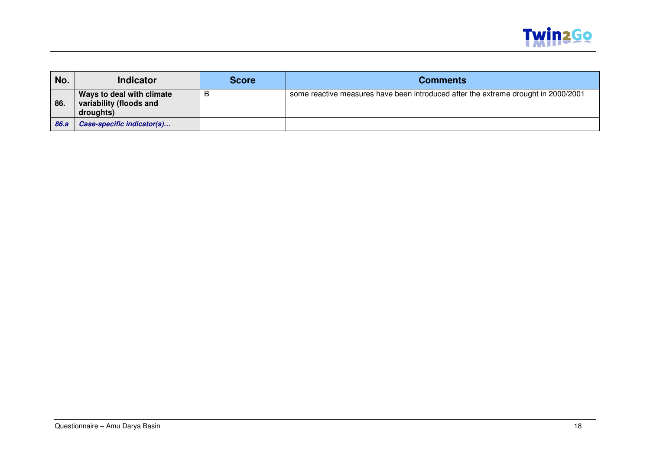

| No.  | <b>Indicator</b>                                                  | <b>Score</b> | <b>Comments</b>                                                                    |
|------|-------------------------------------------------------------------|--------------|------------------------------------------------------------------------------------|
| 86.  | Ways to deal with climate<br>variability (floods and<br>droughts) | ь            | some reactive measures have been introduced after the extreme drought in 2000/2001 |
| 86.a | Case-specific indicator(s)                                        |              |                                                                                    |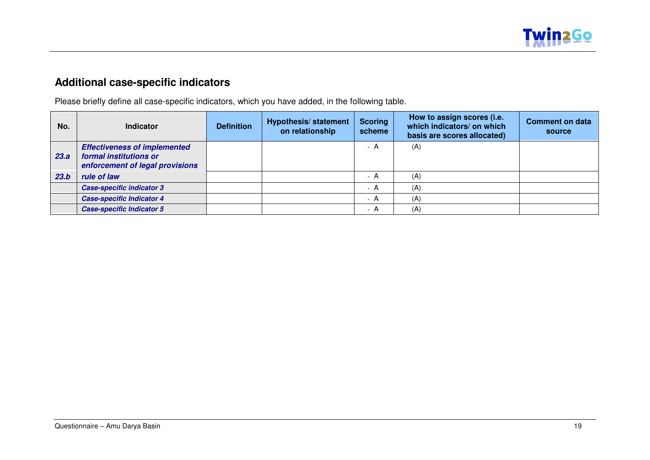

### **Additional case-specific indicators**

Please briefly define all case-specific indicators, which you have added, in the following table.

| No.  | <b>Indicator</b>                                                                                 | <b>Definition</b> | <b>Hypothesis/ statement</b><br>on relationship | <b>Scoring</b><br>scheme      | How to assign scores (i.e.<br>which indicators/ on which<br>basis are scores allocated) | <b>Comment on data</b><br>source |
|------|--------------------------------------------------------------------------------------------------|-------------------|-------------------------------------------------|-------------------------------|-----------------------------------------------------------------------------------------|----------------------------------|
| 23.a | <b>Effectiveness of implemented</b><br>formal institutions or<br>enforcement of legal provisions |                   |                                                 | - A                           | (A)                                                                                     |                                  |
| 23.b | rule of law                                                                                      |                   |                                                 | - A                           | (A)                                                                                     |                                  |
|      | <b>Case-specific indicator 3</b>                                                                 |                   |                                                 | - A                           | (A)                                                                                     |                                  |
|      | <b>Case-specific Indicator 4</b>                                                                 |                   |                                                 | - A                           | (A)                                                                                     |                                  |
|      | <b>Case-specific Indicator 5</b>                                                                 |                   |                                                 | A<br>$\overline{\phantom{a}}$ | (A)                                                                                     |                                  |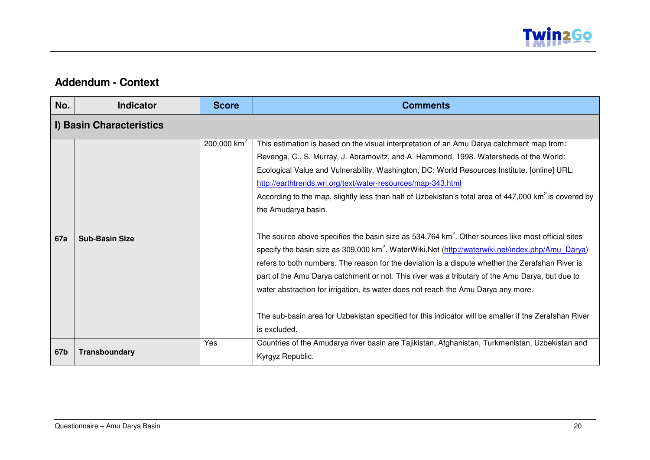

#### **Addendum - Context**

| No. | <b>Indicator</b>         | <b>Score</b>   | <b>Comments</b>                                                                                                                                                                                                                                                                                                                                                                                                                                                                                                                                                                                                                                                                                                                                                                                                                                                                                                                                                                                                                                                                                                                                         |  |  |
|-----|--------------------------|----------------|---------------------------------------------------------------------------------------------------------------------------------------------------------------------------------------------------------------------------------------------------------------------------------------------------------------------------------------------------------------------------------------------------------------------------------------------------------------------------------------------------------------------------------------------------------------------------------------------------------------------------------------------------------------------------------------------------------------------------------------------------------------------------------------------------------------------------------------------------------------------------------------------------------------------------------------------------------------------------------------------------------------------------------------------------------------------------------------------------------------------------------------------------------|--|--|
|     | I) Basin Characteristics |                |                                                                                                                                                                                                                                                                                                                                                                                                                                                                                                                                                                                                                                                                                                                                                                                                                                                                                                                                                                                                                                                                                                                                                         |  |  |
| 67a | <b>Sub-Basin Size</b>    | 200,000 $km^2$ | This estimation is based on the visual interpretation of an Amu Darya catchment map from:<br>Revenga, C., S. Murray, J. Abramovitz, and A. Hammond, 1998. Watersheds of the World:<br>Ecological Value and Vulnerability. Washington, DC: World Resources Institute. [online] URL:<br>http://earthtrends.wri.org/text/water-resources/map-343.html<br>According to the map, slightly less than half of Uzbekistan's total area of 447,000 km <sup>2</sup> is covered by<br>the Amudarya basin.<br>The source above specifies the basin size as $534,764$ km <sup>2</sup> . Other sources like most official sites<br>specify the basin size as 309,000 km <sup>2</sup> . WaterWiki.Net (http://waterwiki.net/index.php/Amu_Darya)<br>refers to both numbers. The reason for the deviation is a dispute whether the Zerafshan River is<br>part of the Amu Darya catchment or not. This river was a tributary of the Amu Darya, but due to<br>water abstraction for irrigation, its water does not reach the Amu Darya any more.<br>The sub-basin area for Uzbekistan specified for this indicator will be smaller if the Zerafshan River<br>is excluded. |  |  |
| 67b | Transboundary            | Yes            | Countries of the Amudarya river basin are Tajikistan, Afghanistan, Turkmenistan, Uzbekistan and<br>Kyrgyz Republic.                                                                                                                                                                                                                                                                                                                                                                                                                                                                                                                                                                                                                                                                                                                                                                                                                                                                                                                                                                                                                                     |  |  |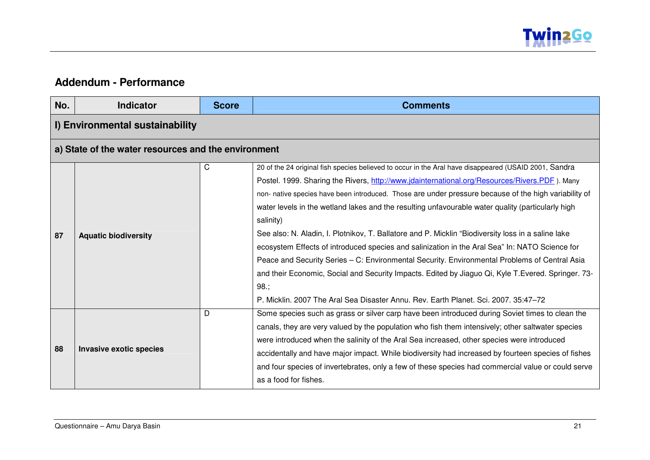

#### **Addendum - Performance**

| No. | <b>Indicator</b>                                    | <b>Score</b> | <b>Comments</b>                                                                                                                                                                                                                                                                                                                                                                                                                                                                                                                                                                                                                                                                                                                                                                                                                                                                                                                                |  |  |
|-----|-----------------------------------------------------|--------------|------------------------------------------------------------------------------------------------------------------------------------------------------------------------------------------------------------------------------------------------------------------------------------------------------------------------------------------------------------------------------------------------------------------------------------------------------------------------------------------------------------------------------------------------------------------------------------------------------------------------------------------------------------------------------------------------------------------------------------------------------------------------------------------------------------------------------------------------------------------------------------------------------------------------------------------------|--|--|
|     | I) Environmental sustainability                     |              |                                                                                                                                                                                                                                                                                                                                                                                                                                                                                                                                                                                                                                                                                                                                                                                                                                                                                                                                                |  |  |
|     | a) State of the water resources and the environment |              |                                                                                                                                                                                                                                                                                                                                                                                                                                                                                                                                                                                                                                                                                                                                                                                                                                                                                                                                                |  |  |
| 87  | <b>Aquatic biodiversity</b>                         | C            | 20 of the 24 original fish species believed to occur in the Aral have disappeared (USAID 2001, Sandra<br>Postel. 1999. Sharing the Rivers, http://www.jdainternational.org/Resources/Rivers.PDF). Many<br>non- native species have been introduced. Those are under pressure because of the high variability of<br>water levels in the wetland lakes and the resulting unfavourable water quality (particularly high<br>salinity)<br>See also: N. Aladin, I. Plotnikov, T. Ballatore and P. Micklin "Biodiversity loss in a saline lake<br>ecosystem Effects of introduced species and salinization in the Aral Sea" In: NATO Science for<br>Peace and Security Series - C: Environmental Security. Environmental Problems of Central Asia<br>and their Economic, Social and Security Impacts. Edited by Jiaguo Qi, Kyle T.Evered. Springer. 73-<br>98.<br>P. Micklin. 2007 The Aral Sea Disaster Annu. Rev. Earth Planet. Sci. 2007. 35:47-72 |  |  |
| 88  | <b>Invasive exotic species</b>                      | D            | Some species such as grass or silver carp have been introduced during Soviet times to clean the<br>canals, they are very valued by the population who fish them intensively; other saltwater species<br>were introduced when the salinity of the Aral Sea increased, other species were introduced<br>accidentally and have major impact. While biodiversity had increased by fourteen species of fishes<br>and four species of invertebrates, only a few of these species had commercial value or could serve<br>as a food for fishes.                                                                                                                                                                                                                                                                                                                                                                                                        |  |  |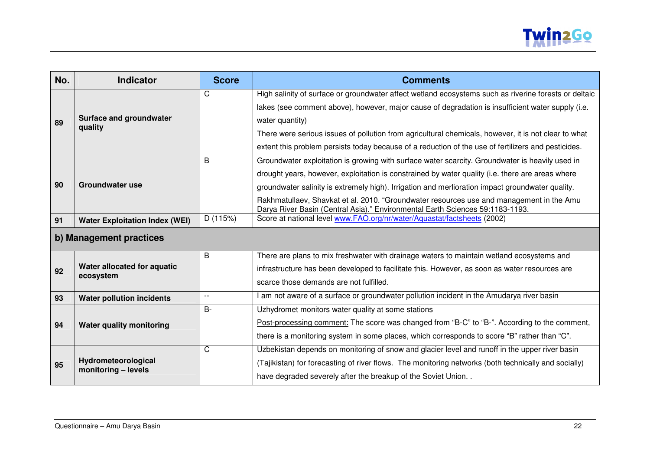

| No. | <b>Indicator</b>                          | <b>Score</b> | <b>Comments</b>                                                                                                                                                           |
|-----|-------------------------------------------|--------------|---------------------------------------------------------------------------------------------------------------------------------------------------------------------------|
|     |                                           | C.           | High salinity of surface or groundwater affect wetland ecosystems such as riverine forests or deltaic                                                                     |
|     |                                           |              | lakes (see comment above), however, major cause of degradation is insufficient water supply (i.e.                                                                         |
| 89  | <b>Surface and groundwater</b><br>quality |              | water quantity)                                                                                                                                                           |
|     |                                           |              | There were serious issues of pollution from agricultural chemicals, however, it is not clear to what                                                                      |
|     |                                           |              | extent this problem persists today because of a reduction of the use of fertilizers and pesticides.                                                                       |
|     | Groundwater use                           | B            | Groundwater exploitation is growing with surface water scarcity. Groundwater is heavily used in                                                                           |
|     |                                           |              | drought years, however, exploitation is constrained by water quality (i.e. there are areas where                                                                          |
| 90  |                                           |              | groundwater salinity is extremely high). Irrigation and merlioration impact groundwater quality.                                                                          |
|     |                                           |              | Rakhmatullaev, Shavkat et al. 2010. "Groundwater resources use and management in the Amu<br>Darya River Basin (Central Asia)." Environmental Earth Sciences 59:1183-1193. |
| 91  | <b>Water Exploitation Index (WEI)</b>     | D (115%)     | Score at national level www.FAO.org/nr/water/Aquastat/factsheets (2002)                                                                                                   |

## **b) Management practices**

| 92 | Water allocated for aquatic<br>ecosystem   | B     | There are plans to mix freshwater with drainage waters to maintain wetland ecosystems and<br>infrastructure has been developed to facilitate this. However, as soon as water resources are<br>scarce those demands are not fulfilled.                                  |
|----|--------------------------------------------|-------|------------------------------------------------------------------------------------------------------------------------------------------------------------------------------------------------------------------------------------------------------------------------|
| 93 | Water pollution incidents                  |       | am not aware of a surface or groundwater pollution incident in the Amudarya river basin                                                                                                                                                                                |
| 94 | Water quality monitoring                   | $B -$ | Uzhydromet monitors water quality at some stations<br>Post-processing comment: The score was changed from "B-C" to "B-". According to the comment,<br>there is a monitoring system in some places, which corresponds to score "B" rather than "C".                     |
| 95 | Hydrometeorological<br>monitoring - levels | C     | Uzbekistan depends on monitoring of snow and glacier level and runoff in the upper river basin<br>(Tajikistan) for forecasting of river flows. The monitoring networks (both technically and socially)<br>have degraded severely after the breakup of the Soviet Union |